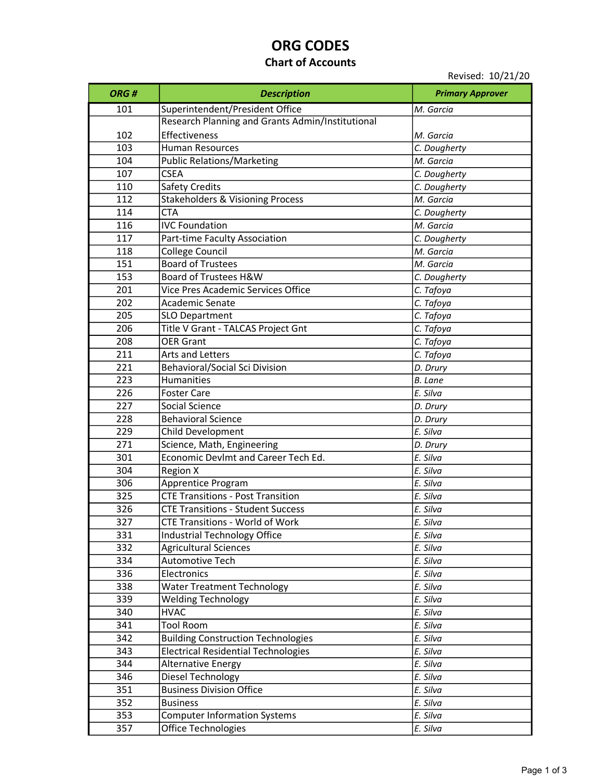# ORG CODES

### Chart of Accounts

Revised: 10/21/20

| ORG# | <b>Description</b>                               | <b>Primary Approver</b> |
|------|--------------------------------------------------|-------------------------|
| 101  | Superintendent/President Office                  | M. Garcia               |
|      | Research Planning and Grants Admin/Institutional |                         |
| 102  | Effectiveness                                    | M. Garcia               |
| 103  | <b>Human Resources</b>                           | C. Dougherty            |
| 104  | <b>Public Relations/Marketing</b>                | M. Garcia               |
| 107  | <b>CSEA</b>                                      | C. Dougherty            |
| 110  | <b>Safety Credits</b>                            | C. Dougherty            |
| 112  | <b>Stakeholders &amp; Visioning Process</b>      | M. Garcia               |
| 114  | <b>CTA</b>                                       | C. Dougherty            |
| 116  | <b>IVC Foundation</b>                            | M. Garcia               |
| 117  | Part-time Faculty Association                    | C. Dougherty            |
| 118  | <b>College Council</b>                           | M. Garcia               |
| 151  | <b>Board of Trustees</b>                         | M. Garcia               |
| 153  | Board of Trustees H&W                            | C. Dougherty            |
| 201  | Vice Pres Academic Services Office               | C. Tafoya               |
| 202  | <b>Academic Senate</b>                           | C. Tafoya               |
| 205  | <b>SLO Department</b>                            | C. Tafoya               |
| 206  | Title V Grant - TALCAS Project Gnt               | C. Tafoya               |
| 208  | <b>OER Grant</b>                                 | C. Tafoya               |
| 211  | Arts and Letters                                 | C. Tafoya               |
| 221  | <b>Behavioral/Social Sci Division</b>            | D. Drury                |
| 223  | Humanities                                       | <b>B.</b> Lane          |
| 226  | <b>Foster Care</b>                               | E. Silva                |
| 227  | Social Science                                   | D. Drury                |
| 228  | <b>Behavioral Science</b>                        | D. Drury                |
| 229  | Child Development                                | E. Silva                |
| 271  | Science, Math, Engineering                       | D. Drury                |
| 301  | Economic Devlmt and Career Tech Ed.              | E. Silva                |
| 304  | <b>Region X</b>                                  | E. Silva                |
| 306  | Apprentice Program                               | E. Silva                |
| 325  | <b>CTE Transitions - Post Transition</b>         | E. Silva                |
| 326  | <b>CTE Transitions - Student Success</b>         | E. Silva                |
| 327  | CTE Transitions - World of Work                  | E. Silva                |
| 331  | <b>Industrial Technology Office</b>              | E. Silva                |
| 332  | <b>Agricultural Sciences</b>                     | E. Silva                |
| 334  | Automotive Tech                                  | E. Silva                |
| 336  | Electronics                                      | E. Silva                |
| 338  | <b>Water Treatment Technology</b>                | E. Silva                |
| 339  | <b>Welding Technology</b>                        | E. Silva                |
| 340  | <b>HVAC</b>                                      | E. Silva                |
| 341  | <b>Tool Room</b>                                 | E. Silva                |
| 342  | <b>Building Construction Technologies</b>        | E. Silva                |
| 343  | <b>Electrical Residential Technologies</b>       | E. Silva                |
| 344  | <b>Alternative Energy</b>                        | E. Silva                |
| 346  | Diesel Technology                                | E. Silva                |
| 351  | <b>Business Division Office</b>                  | E. Silva                |
| 352  | <b>Business</b>                                  | E. Silva                |
| 353  | <b>Computer Information Systems</b>              | E. Silva                |
| 357  | Office Technologies                              | E. Silva                |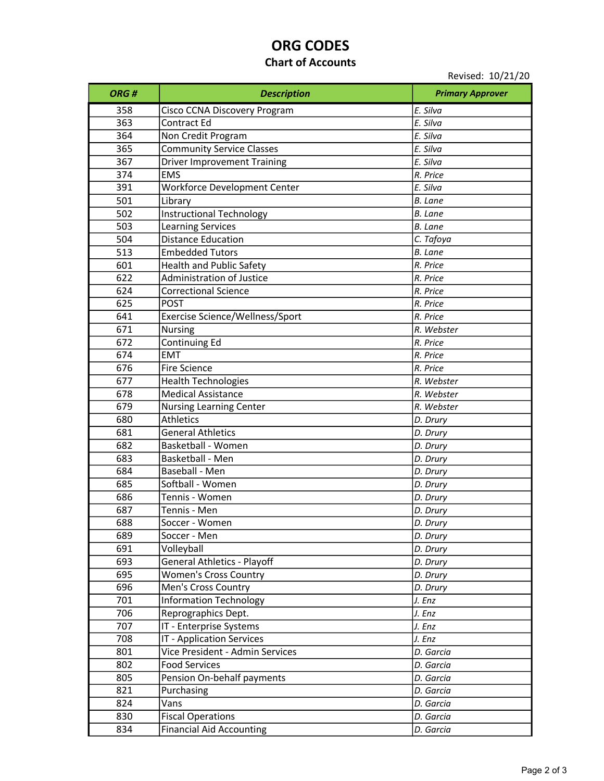# ORG CODES

### Chart of Accounts

Revised: 10/21/20

| ORG# | <b>Description</b>                 | <b>Primary Approver</b> |
|------|------------------------------------|-------------------------|
| 358  | Cisco CCNA Discovery Program       | E. Silva                |
| 363  | Contract Ed                        | E. Silva                |
| 364  | Non Credit Program                 | E. Silva                |
| 365  | <b>Community Service Classes</b>   | E. Silva                |
| 367  | <b>Driver Improvement Training</b> | E. Silva                |
| 374  | <b>EMS</b>                         | R. Price                |
| 391  | Workforce Development Center       | E. Silva                |
| 501  | Library                            | <b>B.</b> Lane          |
| 502  | <b>Instructional Technology</b>    | <b>B.</b> Lane          |
| 503  | <b>Learning Services</b>           | <b>B.</b> Lane          |
| 504  | <b>Distance Education</b>          | C. Tafoya               |
| 513  | <b>Embedded Tutors</b>             | <b>B.</b> Lane          |
| 601  | <b>Health and Public Safety</b>    | R. Price                |
| 622  | <b>Administration of Justice</b>   | R. Price                |
| 624  | <b>Correctional Science</b>        | R. Price                |
| 625  | <b>POST</b>                        | R. Price                |
| 641  | Exercise Science/Wellness/Sport    | R. Price                |
| 671  | <b>Nursing</b>                     | R. Webster              |
| 672  | Continuing Ed                      | R. Price                |
| 674  | <b>EMT</b>                         | R. Price                |
| 676  | <b>Fire Science</b>                | R. Price                |
| 677  | Health Technologies                | R. Webster              |
| 678  | <b>Medical Assistance</b>          | R. Webster              |
| 679  | <b>Nursing Learning Center</b>     | R. Webster              |
| 680  | <b>Athletics</b>                   | D. Drury                |
| 681  | <b>General Athletics</b>           | D. Drury                |
| 682  | Basketball - Women                 | D. Drury                |
| 683  | Basketball - Men                   | D. Drury                |
| 684  | Baseball - Men                     | D. Drury                |
| 685  | Softball - Women                   | D. Drury                |
| 686  | Tennis - Women                     | D. Drury                |
| 687  | Tennis - Men                       | D. Drury                |
| 688  | Soccer - Women                     | D. Drury                |
| 689  | Soccer - Men                       | D. Drury                |
| 691  | Volleyball                         | D. Drury                |
| 693  | <b>General Athletics - Playoff</b> | D. Drury                |
| 695  | <b>Women's Cross Country</b>       | D. Drury                |
| 696  | Men's Cross Country                | D. Drury                |
| 701  | <b>Information Technology</b>      | J. Enz                  |
| 706  | Reprographics Dept.                | J. Enz                  |
| 707  | IT - Enterprise Systems            | J. Enz                  |
| 708  | IT - Application Services          | J. Enz                  |
| 801  | Vice President - Admin Services    | D. Garcia               |
| 802  | <b>Food Services</b>               | D. Garcia               |
| 805  | Pension On-behalf payments         | D. Garcia               |
| 821  | Purchasing                         | D. Garcia               |
| 824  | Vans                               | D. Garcia               |
| 830  | <b>Fiscal Operations</b>           | D. Garcia               |
| 834  | <b>Financial Aid Accounting</b>    | D. Garcia               |